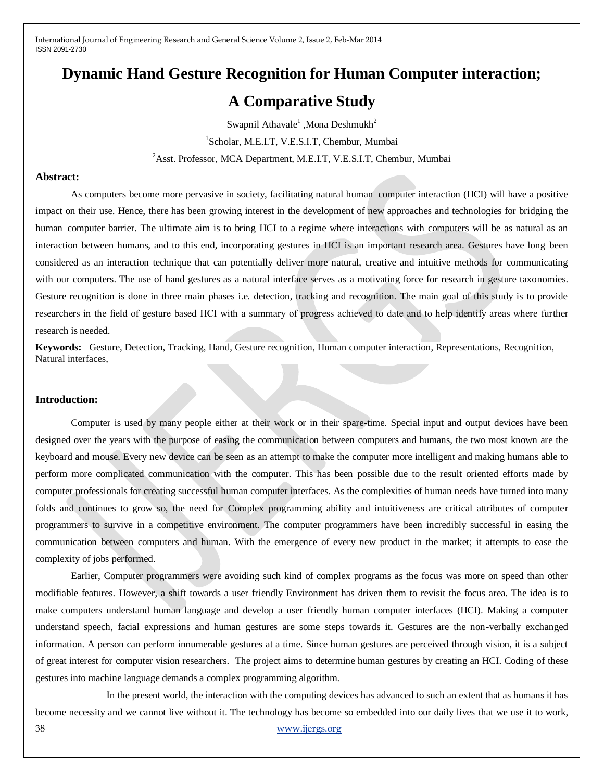# **Dynamic Hand Gesture Recognition for Human Computer interaction;**

## **A Comparative Study**

Swapnil Athavale<sup>1</sup> ,Mona Deshmukh<sup>2</sup>

1 Scholar, M.E.I.T, V.E.S.I.T, Chembur, Mumbai

<sup>2</sup>Asst. Professor, MCA Department, M.E.I.T, V.E.S.I.T, Chembur, Mumbai

#### **Abstract:**

As computers become more pervasive in society, facilitating natural human–computer interaction (HCI) will have a positive impact on their use. Hence, there has been growing interest in the development of new approaches and technologies for bridging the human–computer barrier. The ultimate aim is to bring HCI to a regime where interactions with computers will be as natural as an interaction between humans, and to this end, incorporating gestures in HCI is an important research area. Gestures have long been considered as an interaction technique that can potentially deliver more natural, creative and intuitive methods for communicating with our computers. The use of hand gestures as a natural interface serves as a motivating force for research in gesture taxonomies. Gesture recognition is done in three main phases i.e. detection, tracking and recognition. The main goal of this study is to provide researchers in the field of gesture based HCI with a summary of progress achieved to date and to help identify areas where further research is needed.

**Keywords:** Gesture, Detection, Tracking, Hand, Gesture recognition, Human computer interaction, Representations, Recognition, Natural interfaces,

#### **Introduction:**

Computer is used by many people either at their work or in their spare-time. Special input and output devices have been designed over the years with the purpose of easing the communication between computers and humans, the two most known are the keyboard and mouse. Every new device can be seen as an attempt to make the computer more intelligent and making humans able to perform more complicated communication with the computer. This has been possible due to the result oriented efforts made by computer professionals for creating successful human computer interfaces. As the complexities of human needs have turned into many folds and continues to grow so, the need for Complex programming ability and intuitiveness are critical attributes of computer programmers to survive in a competitive environment. The computer programmers have been incredibly successful in easing the communication between computers and human. With the emergence of every new product in the market; it attempts to ease the complexity of jobs performed.

Earlier, Computer programmers were avoiding such kind of complex programs as the focus was more on speed than other modifiable features. However, a shift towards a user friendly Environment has driven them to revisit the focus area. The idea is to make computers understand human language and develop a user friendly human computer interfaces (HCI). Making a computer understand speech, facial expressions and human gestures are some steps towards it. Gestures are the non-verbally exchanged information. A person can perform innumerable gestures at a time. Since human gestures are perceived through vision, it is a subject of great interest for computer vision researchers. The project aims to determine human gestures by creating an HCI. Coding of these gestures into machine language demands a complex programming algorithm.

In the present world, the interaction with the computing devices has advanced to such an extent that as humans it has become necessity and we cannot live without it. The technology has become so embedded into our daily lives that we use it to work,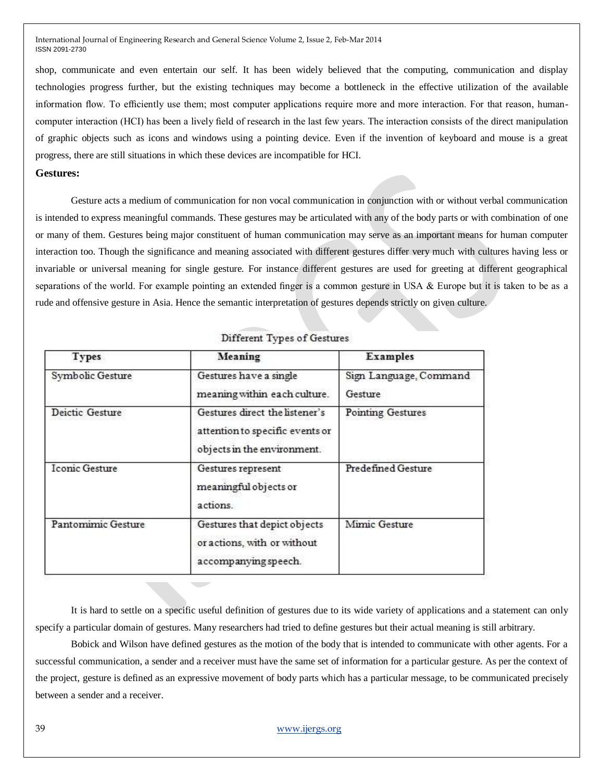shop, communicate and even entertain our self. It has been widely believed that the computing, communication and display technologies progress further, but the existing techniques may become a bottleneck in the effective utilization of the available information flow. To efficiently use them; most computer applications require more and more interaction. For that reason, humancomputer interaction (HCI) has been a lively field of research in the last few years. The interaction consists of the direct manipulation of graphic objects such as icons and windows using a pointing device. Even if the invention of keyboard and mouse is a great progress, there are still situations in which these devices are incompatible for HCI.

#### **Gestures:**

Gesture acts a medium of communication for non vocal communication in conjunction with or without verbal communication is intended to express meaningful commands. These gestures may be articulated with any of the body parts or with combination of one or many of them. Gestures being major constituent of human communication may serve as an important means for human computer interaction too. Though the significance and meaning associated with different gestures differ very much with cultures having less or invariable or universal meaning for single gesture. For instance different gestures are used for greeting at different geographical separations of the world. For example pointing an extended finger is a common gesture in USA & Europe but it is taken to be as a rude and offensive gesture in Asia. Hence the semantic interpretation of gestures depends strictly on given culture.

| <b>Types</b>                                                                                              | Meaning                                                                                          | <b>Examples</b>                   |  |
|-----------------------------------------------------------------------------------------------------------|--------------------------------------------------------------------------------------------------|-----------------------------------|--|
| Symbolic Gesture                                                                                          | Gestures have a single<br>meaning within each culture.                                           | Sign Language, Command<br>Gesture |  |
| Deictic Gesture                                                                                           | Gestures direct the listener's<br>attention to specific events or<br>objects in the environment. | <b>Pointing Gestures</b>          |  |
| Iconic Gesture                                                                                            | Gestures represent<br>meaningful objects or<br>actions.                                          | Predefined Gesture                |  |
| Pantomimic Gesture<br>Gestures that depict objects<br>or actions, with or without<br>accompanying speech. |                                                                                                  | Mimic Gesture                     |  |

#### Different Types of Gestures

It is hard to settle on a specific useful definition of gestures due to its wide variety of applications and a statement can only specify a particular domain of gestures. Many researchers had tried to define gestures but their actual meaning is still arbitrary.

Bobick and Wilson have defined gestures as the motion of the body that is intended to communicate with other agents. For a successful communication, a sender and a receiver must have the same set of information for a particular gesture. As per the context of the project, gesture is defined as an expressive movement of body parts which has a particular message, to be communicated precisely between a sender and a receiver.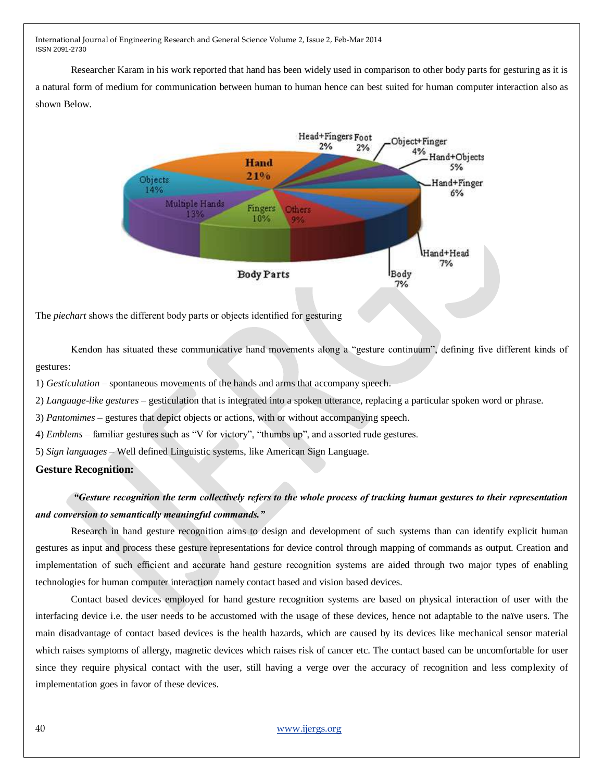Researcher Karam in his work reported that hand has been widely used in comparison to other body parts for gesturing as it is a natural form of medium for communication between human to human hence can best suited for human computer interaction also as shown Below.



The *piechart* shows the different body parts or objects identified for gesturing

Kendon has situated these communicative hand movements along a "gesture continuum", defining five different kinds of gestures:

1) *Gesticulation* – spontaneous movements of the hands and arms that accompany speech.

2) *Language-like gestures* – gesticulation that is integrated into a spoken utterance, replacing a particular spoken word or phrase.

3) *Pantomimes* – gestures that depict objects or actions, with or without accompanying speech.

4) *Emblems* – familiar gestures such as "V for victory", "thumbs up", and assorted rude gestures.

5) *Sign languages* – Well defined Linguistic systems, like American Sign Language.

#### **Gesture Recognition:**

### *"Gesture recognition the term collectively refers to the whole process of tracking human gestures to their representation and conversion to semantically meaningful commands."*

Research in hand gesture recognition aims to design and development of such systems than can identify explicit human gestures as input and process these gesture representations for device control through mapping of commands as output. Creation and implementation of such efficient and accurate hand gesture recognition systems are aided through two major types of enabling technologies for human computer interaction namely contact based and vision based devices.

Contact based devices employed for hand gesture recognition systems are based on physical interaction of user with the interfacing device i.e. the user needs to be accustomed with the usage of these devices, hence not adaptable to the naïve users. The main disadvantage of contact based devices is the health hazards, which are caused by its devices like mechanical sensor material which raises symptoms of allergy, magnetic devices which raises risk of cancer etc. The contact based can be uncomfortable for user since they require physical contact with the user, still having a verge over the accuracy of recognition and less complexity of implementation goes in favor of these devices.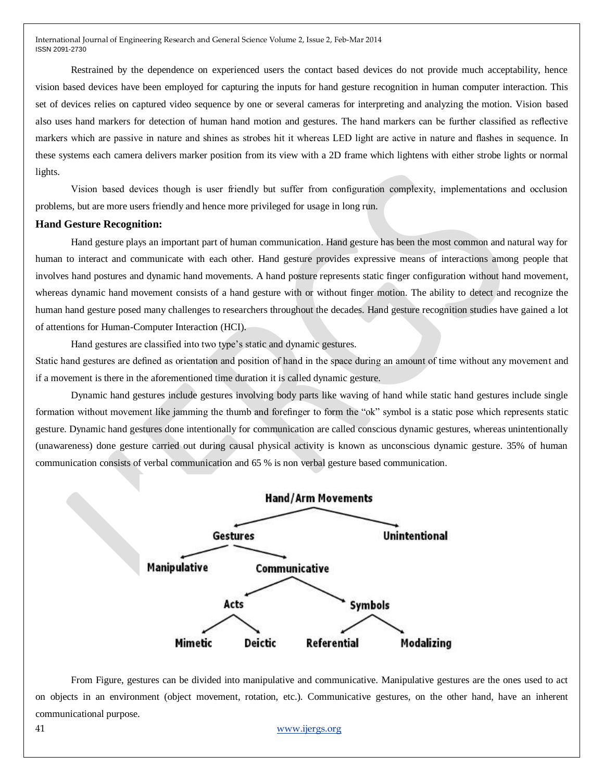Restrained by the dependence on experienced users the contact based devices do not provide much acceptability, hence vision based devices have been employed for capturing the inputs for hand gesture recognition in human computer interaction. This set of devices relies on captured video sequence by one or several cameras for interpreting and analyzing the motion. Vision based also uses hand markers for detection of human hand motion and gestures. The hand markers can be further classified as reflective markers which are passive in nature and shines as strobes hit it whereas LED light are active in nature and flashes in sequence. In these systems each camera delivers marker position from its view with a 2D frame which lightens with either strobe lights or normal lights.

Vision based devices though is user friendly but suffer from configuration complexity, implementations and occlusion problems, but are more users friendly and hence more privileged for usage in long run.

#### **Hand Gesture Recognition:**

Hand gesture plays an important part of human communication. Hand gesture has been the most common and natural way for human to interact and communicate with each other. Hand gesture provides expressive means of interactions among people that involves hand postures and dynamic hand movements. A hand posture represents static finger configuration without hand movement, whereas dynamic hand movement consists of a hand gesture with or without finger motion. The ability to detect and recognize the human hand gesture posed many challenges to researchers throughout the decades. Hand gesture recognition studies have gained a lot of attentions for Human-Computer Interaction (HCI).

Hand gestures are classified into two type's static and dynamic gestures. Static hand gestures are defined as orientation and position of hand in the space during an amount of time without any movement and if a movement is there in the aforementioned time duration it is called dynamic gesture.

Dynamic hand gestures include gestures involving body parts like waving of hand while static hand gestures include single formation without movement like jamming the thumb and forefinger to form the "ok" symbol is a static pose which represents static gesture. Dynamic hand gestures done intentionally for communication are called conscious dynamic gestures, whereas unintentionally (unawareness) done gesture carried out during causal physical activity is known as unconscious dynamic gesture. 35% of human communication consists of verbal communication and 65 % is non verbal gesture based communication.



From Figure, gestures can be divided into manipulative and communicative. Manipulative gestures are the ones used to act on objects in an environment (object movement, rotation, etc.). Communicative gestures, on the other hand, have an inherent communicational purpose.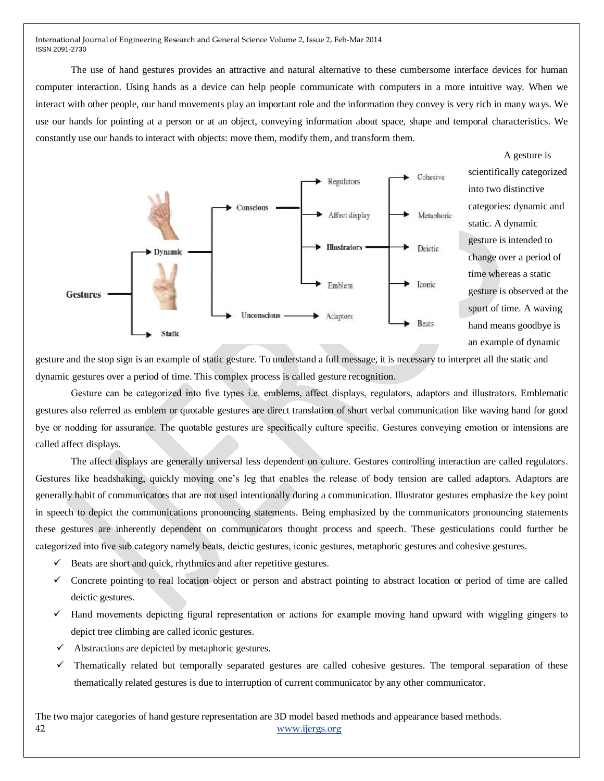The use of hand gestures provides an attractive and natural alternative to these cumbersome interface devices for human computer interaction. Using hands as a device can help people communicate with computers in a more intuitive way. When we interact with other people, our hand movements play an important role and the information they convey is very rich in many ways. We use our hands for pointing at a person or at an object, conveying information about space, shape and temporal characteristics. We constantly use our hands to interact with objects: move them, modify them, and transform them.



A gesture is scientifically categorized into two distinctive categories: dynamic and static. A dynamic gesture is intended to change over a period of time whereas a static gesture is observed at the spurt of time. A waving hand means goodbye is an example of dynamic

gesture and the stop sign is an example of static gesture. To understand a full message, it is necessary to interpret all the static and dynamic gestures over a period of time. This complex process is called gesture recognition.

Gesture can be categorized into five types i.e. emblems, affect displays, regulators, adaptors and illustrators. Emblematic gestures also referred as emblem or quotable gestures are direct translation of short verbal communication like waving hand for good bye or nodding for assurance. The quotable gestures are specifically culture specific. Gestures conveying emotion or intensions are called affect displays.

The affect displays are generally universal less dependent on culture. Gestures controlling interaction are called regulators. Gestures like headshaking, quickly moving one's leg that enables the release of body tension are called adaptors. Adaptors are generally habit of communicators that are not used intentionally during a communication. Illustrator gestures emphasize the key point in speech to depict the communications pronouncing statements. Being emphasized by the communicators pronouncing statements these gestures are inherently dependent on communicators thought process and speech. These gesticulations could further be categorized into five sub category namely beats, deictic gestures, iconic gestures, metaphoric gestures and cohesive gestures.

- $\checkmark$  Beats are short and quick, rhythmics and after repetitive gestures.
- $\checkmark$  Concrete pointing to real location object or person and abstract pointing to abstract location or period of time are called deictic gestures.
- $\checkmark$  Hand movements depicting figural representation or actions for example moving hand upward with wiggling gingers to depict tree climbing are called iconic gestures.
- $\checkmark$  Abstractions are depicted by metaphoric gestures.
- $\checkmark$  Thematically related but temporally separated gestures are called cohesive gestures. The temporal separation of these thematically related gestures is due to interruption of current communicator by any other communicator.

42 [www.ijergs.org](http://www.ijergs.org/) The two major categories of hand gesture representation are 3D model based methods and appearance based methods.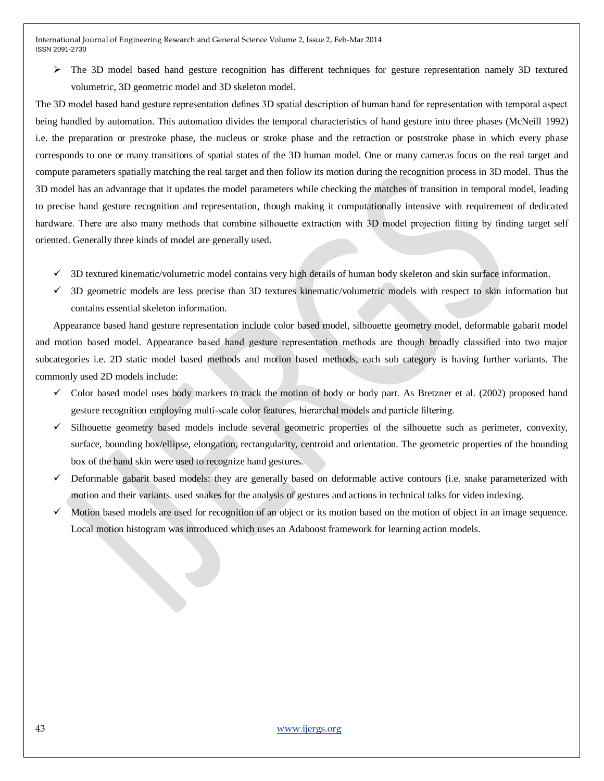$\triangleright$  The 3D model based hand gesture recognition has different techniques for gesture representation namely 3D textured volumetric, 3D geometric model and 3D skeleton model.

The 3D model based hand gesture representation defines 3D spatial description of human hand for representation with temporal aspect being handled by automation. This automation divides the temporal characteristics of hand gesture into three phases (McNeill 1992) i.e. the preparation or prestroke phase, the nucleus or stroke phase and the retraction or poststroke phase in which every phase corresponds to one or many transitions of spatial states of the 3D human model. One or many cameras focus on the real target and compute parameters spatially matching the real target and then follow its motion during the recognition process in 3D model. Thus the 3D model has an advantage that it updates the model parameters while checking the matches of transition in temporal model, leading to precise hand gesture recognition and representation, though making it computationally intensive with requirement of dedicated hardware. There are also many methods that combine silhouette extraction with 3D model projection fitting by finding target self oriented. Generally three kinds of model are generally used.

- 3D textured kinematic/volumetric model contains very high details of human body skeleton and skin surface information.
- $\checkmark$  3D geometric models are less precise than 3D textures kinematic/volumetric models with respect to skin information but contains essential skeleton information.

Appearance based hand gesture representation include color based model, silhouette geometry model, deformable gabarit model and motion based model. Appearance based hand gesture representation methods are though broadly classified into two major subcategories i.e. 2D static model based methods and motion based methods, each sub category is having further variants. The commonly used 2D models include:

- Color based model uses body markers to track the motion of body or body part. As Bretzner et al. (2002) proposed hand gesture recognition employing multi-scale color features, hierarchal models and particle filtering.
- Silhouette geometry based models include several geometric properties of the silhouette such as perimeter, convexity, surface, bounding box/ellipse, elongation, rectangularity, centroid and orientation. The geometric properties of the bounding box of the hand skin were used to recognize hand gestures.
- Deformable gabarit based models: they are generally based on deformable active contours (i.e. snake parameterized with motion and their variants. used snakes for the analysis of gestures and actions in technical talks for video indexing.
- $\checkmark$  Motion based models are used for recognition of an object or its motion based on the motion of object in an image sequence. Local motion histogram was introduced which uses an Adaboost framework for learning action models.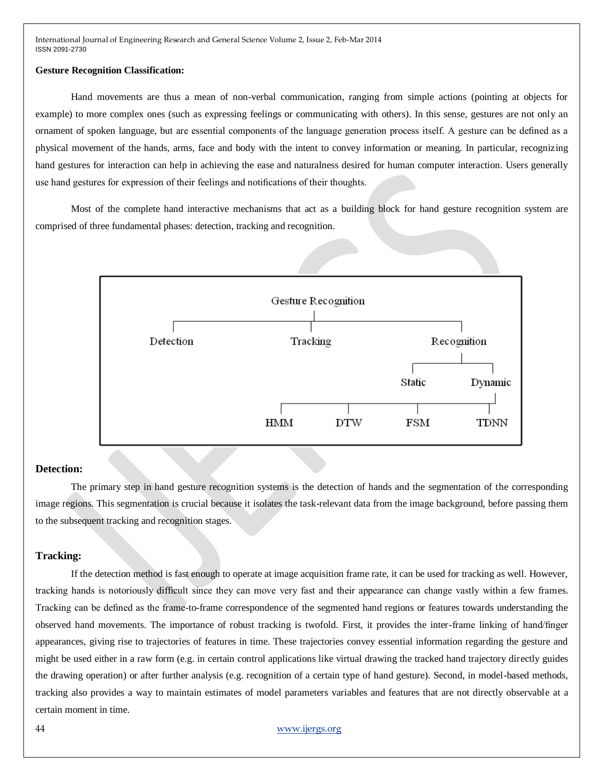#### **Gesture Recognition Classification:**

Hand movements are thus a mean of non-verbal communication, ranging from simple actions (pointing at objects for example) to more complex ones (such as expressing feelings or communicating with others). In this sense, gestures are not only an ornament of spoken language, but are essential components of the language generation process itself. A gesture can be defined as a physical movement of the hands, arms, face and body with the intent to convey information or meaning. In particular, recognizing hand gestures for interaction can help in achieving the ease and naturalness desired for human computer interaction. Users generally use hand gestures for expression of their feelings and notifications of their thoughts.

Most of the complete hand interactive mechanisms that act as a building block for hand gesture recognition system are comprised of three fundamental phases: detection, tracking and recognition.



#### **Detection:**

The primary step in hand gesture recognition systems is the detection of hands and the segmentation of the corresponding image regions. This segmentation is crucial because it isolates the task-relevant data from the image background, before passing them to the subsequent tracking and recognition stages.

#### **Tracking:**

If the detection method is fast enough to operate at image acquisition frame rate, it can be used for tracking as well. However, tracking hands is notoriously difficult since they can move very fast and their appearance can change vastly within a few frames. Tracking can be defined as the frame-to-frame correspondence of the segmented hand regions or features towards understanding the observed hand movements. The importance of robust tracking is twofold. First, it provides the inter-frame linking of hand/finger appearances, giving rise to trajectories of features in time. These trajectories convey essential information regarding the gesture and might be used either in a raw form (e.g. in certain control applications like virtual drawing the tracked hand trajectory directly guides the drawing operation) or after further analysis (e.g. recognition of a certain type of hand gesture). Second, in model-based methods, tracking also provides a way to maintain estimates of model parameters variables and features that are not directly observable at a certain moment in time.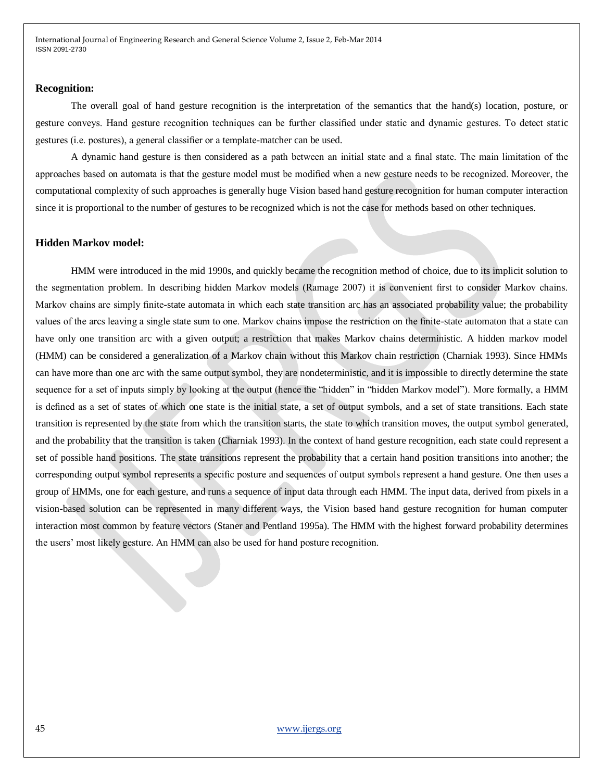#### **Recognition:**

The overall goal of hand gesture recognition is the interpretation of the semantics that the hand(s) location, posture, or gesture conveys. Hand gesture recognition techniques can be further classified under static and dynamic gestures. To detect static gestures (i.e. postures), a general classifier or a template-matcher can be used.

A dynamic hand gesture is then considered as a path between an initial state and a final state. The main limitation of the approaches based on automata is that the gesture model must be modified when a new gesture needs to be recognized. Moreover, the computational complexity of such approaches is generally huge Vision based hand gesture recognition for human computer interaction since it is proportional to the number of gestures to be recognized which is not the case for methods based on other techniques.

#### **Hidden Markov model:**

HMM were introduced in the mid 1990s, and quickly became the recognition method of choice, due to its implicit solution to the segmentation problem. In describing hidden Markov models (Ramage 2007) it is convenient first to consider Markov chains. Markov chains are simply finite-state automata in which each state transition arc has an associated probability value; the probability values of the arcs leaving a single state sum to one. Markov chains impose the restriction on the finite-state automaton that a state can have only one transition arc with a given output; a restriction that makes Markov chains deterministic. A hidden markov model (HMM) can be considered a generalization of a Markov chain without this Markov chain restriction (Charniak 1993). Since HMMs can have more than one arc with the same output symbol, they are nondeterministic, and it is impossible to directly determine the state sequence for a set of inputs simply by looking at the output (hence the "hidden" in "hidden Markov model"). More formally, a HMM is defined as a set of states of which one state is the initial state, a set of output symbols, and a set of state transitions. Each state transition is represented by the state from which the transition starts, the state to which transition moves, the output symbol generated, and the probability that the transition is taken (Charniak 1993). In the context of hand gesture recognition, each state could represent a set of possible hand positions. The state transitions represent the probability that a certain hand position transitions into another; the corresponding output symbol represents a specific posture and sequences of output symbols represent a hand gesture. One then uses a group of HMMs, one for each gesture, and runs a sequence of input data through each HMM. The input data, derived from pixels in a vision-based solution can be represented in many different ways, the Vision based hand gesture recognition for human computer interaction most common by feature vectors (Staner and Pentland 1995a). The HMM with the highest forward probability determines the users' most likely gesture. An HMM can also be used for hand posture recognition.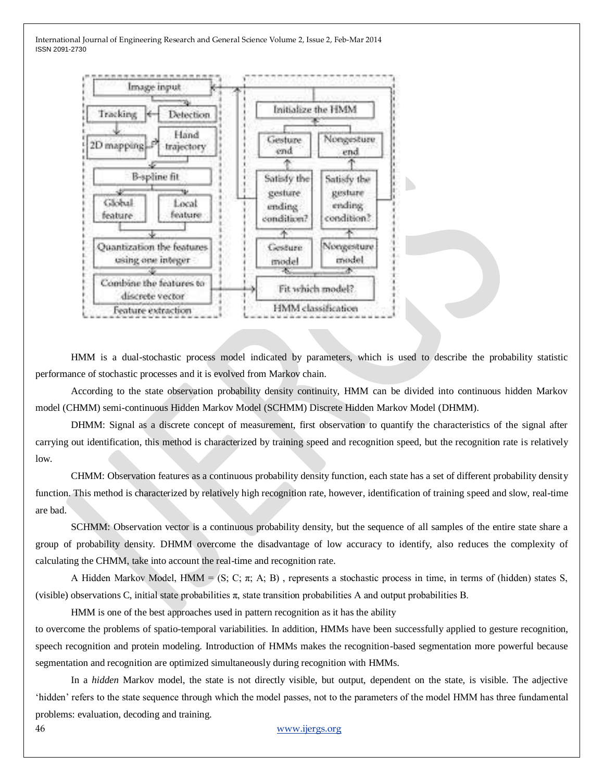

HMM is a dual-stochastic process model indicated by parameters, which is used to describe the probability statistic performance of stochastic processes and it is evolved from Markov chain.

According to the state observation probability density continuity, HMM can be divided into continuous hidden Markov model (CHMM) semi-continuous Hidden Markov Model (SCHMM) Discrete Hidden Markov Model (DHMM).

DHMM: Signal as a discrete concept of measurement, first observation to quantify the characteristics of the signal after carrying out identification, this method is characterized by training speed and recognition speed, but the recognition rate is relatively low.

CHMM: Observation features as a continuous probability density function, each state has a set of different probability density function. This method is characterized by relatively high recognition rate, however, identification of training speed and slow, real-time are bad.

SCHMM: Observation vector is a continuous probability density, but the sequence of all samples of the entire state share a group of probability density. DHMM overcome the disadvantage of low accuracy to identify, also reduces the complexity of calculating the CHMM, take into account the real-time and recognition rate.

A Hidden Markov Model, HMM =  $(S, C, \pi, A, B)$ , represents a stochastic process in time, in terms of (hidden) states S, (visible) observations C, initial state probabilities  $\pi$ , state transition probabilities A and output probabilities B.

HMM is one of the best approaches used in pattern recognition as it has the ability

to overcome the problems of spatio-temporal variabilities. In addition, HMMs have been successfully applied to gesture recognition, speech recognition and protein modeling. Introduction of HMMs makes the recognition-based segmentation more powerful because segmentation and recognition are optimized simultaneously during recognition with HMMs.

In a *hidden* Markov model, the state is not directly visible, but output, dependent on the state, is visible. The adjective ‗hidden' refers to the state sequence through which the model passes, not to the parameters of the model HMM has three fundamental problems: evaluation, decoding and training.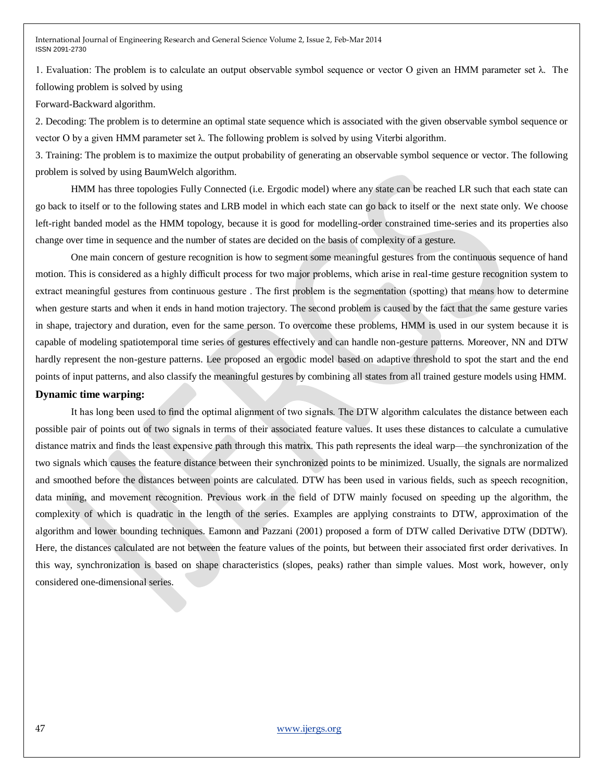1. Evaluation: The problem is to calculate an output observable symbol sequence or vector O given an HMM parameter set λ. The following problem is solved by using

Forward-Backward algorithm.

2. Decoding: The problem is to determine an optimal state sequence which is associated with the given observable symbol sequence or vector O by a given HMM parameter set λ. The following problem is solved by using Viterbi algorithm.

3. Training: The problem is to maximize the output probability of generating an observable symbol sequence or vector. The following problem is solved by using BaumWelch algorithm.

HMM has three topologies Fully Connected (i.e. Ergodic model) where any state can be reached LR such that each state can go back to itself or to the following states and LRB model in which each state can go back to itself or the next state only. We choose left-right banded model as the HMM topology, because it is good for modelling-order constrained time-series and its properties also change over time in sequence and the number of states are decided on the basis of complexity of a gesture.

One main concern of gesture recognition is how to segment some meaningful gestures from the continuous sequence of hand motion. This is considered as a highly difficult process for two major problems, which arise in real-time gesture recognition system to extract meaningful gestures from continuous gesture . The first problem is the segmentation (spotting) that means how to determine when gesture starts and when it ends in hand motion trajectory. The second problem is caused by the fact that the same gesture varies in shape, trajectory and duration, even for the same person. To overcome these problems, HMM is used in our system because it is capable of modeling spatiotemporal time series of gestures effectively and can handle non-gesture patterns. Moreover, NN and DTW hardly represent the non-gesture patterns. Lee proposed an ergodic model based on adaptive threshold to spot the start and the end points of input patterns, and also classify the meaningful gestures by combining all states from all trained gesture models using HMM.

#### **Dynamic time warping:**

It has long been used to find the optimal alignment of two signals. The DTW algorithm calculates the distance between each possible pair of points out of two signals in terms of their associated feature values. It uses these distances to calculate a cumulative distance matrix and finds the least expensive path through this matrix. This path represents the ideal warp—the synchronization of the two signals which causes the feature distance between their synchronized points to be minimized. Usually, the signals are normalized and smoothed before the distances between points are calculated. DTW has been used in various fields, such as speech recognition, data mining, and movement recognition. Previous work in the field of DTW mainly focused on speeding up the algorithm, the complexity of which is quadratic in the length of the series. Examples are applying constraints to DTW, approximation of the algorithm and lower bounding techniques. Eamonn and Pazzani (2001) proposed a form of DTW called Derivative DTW (DDTW). Here, the distances calculated are not between the feature values of the points, but between their associated first order derivatives. In this way, synchronization is based on shape characteristics (slopes, peaks) rather than simple values. Most work, however, only considered one-dimensional series.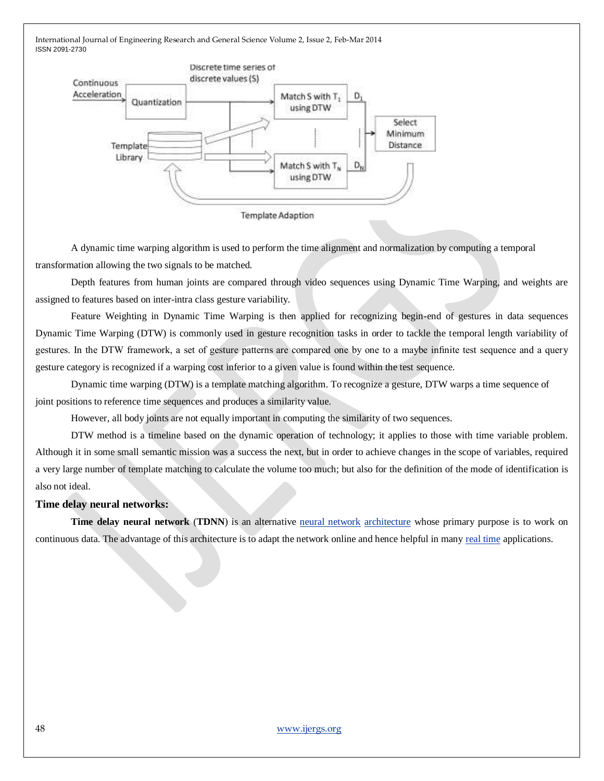

A dynamic time warping algorithm is used to perform the time alignment and normalization by computing a temporal transformation allowing the two signals to be matched.

Depth features from human joints are compared through video sequences using Dynamic Time Warping, and weights are assigned to features based on inter-intra class gesture variability.

Feature Weighting in Dynamic Time Warping is then applied for recognizing begin-end of gestures in data sequences Dynamic Time Warping (DTW) is commonly used in gesture recognition tasks in order to tackle the temporal length variability of gestures. In the DTW framework, a set of gesture patterns are compared one by one to a maybe infinite test sequence and a query gesture category is recognized if a warping cost inferior to a given value is found within the test sequence.

Dynamic time warping (DTW) is a template matching algorithm. To recognize a gesture, DTW warps a time sequence of joint positions to reference time sequences and produces a similarity value.

However, all body joints are not equally important in computing the similarity of two sequences.

DTW method is a timeline based on the dynamic operation of technology; it applies to those with time variable problem. Although it in some small semantic mission was a success the next, but in order to achieve changes in the scope of variables, required a very large number of template matching to calculate the volume too much; but also for the definition of the mode of identification is also not ideal.

#### **Time delay neural networks:**

**Time delay [neural network](http://en.wikipedia.org/wiki/Neural_network)** (**TDNN**) is an alternative neural network [architecture](http://en.wikipedia.org/wiki/Network_architecture) whose primary purpose is to work on continuous data. The advantage of this architecture is to adapt the network online and hence helpful in many [real time](http://en.wikipedia.org/wiki/Real-time_computing) applications.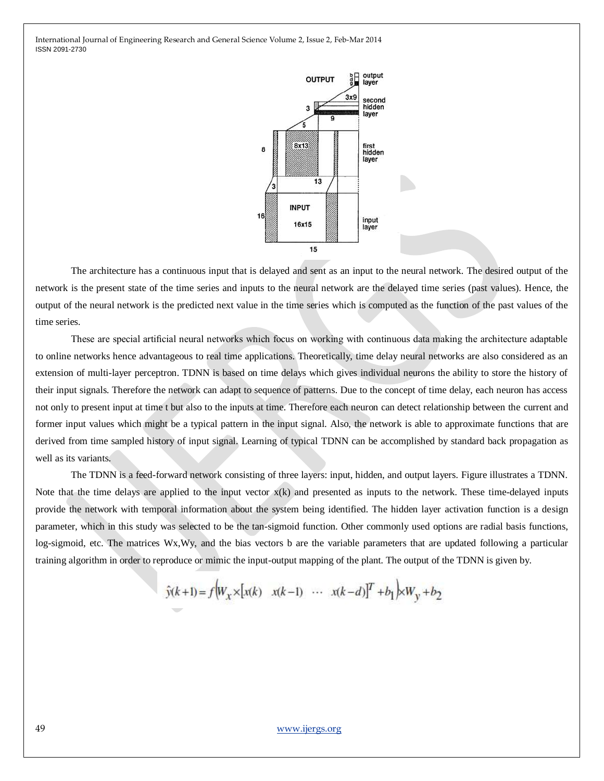

The architecture has a continuous input that is delayed and sent as an input to the neural network. The desired output of the network is the present state of the time series and inputs to the neural network are the delayed time series (past values). Hence, the output of the neural network is the predicted next value in the time series which is computed as the function of the past values of the time series.

These are special artificial neural networks which focus on working with continuous data making the architecture adaptable to online networks hence advantageous to real time applications. Theoretically, time delay neural networks are also considered as an extension of multi-layer perceptron. TDNN is based on time delays which gives individual neurons the ability to store the history of their input signals. Therefore the network can adapt to sequence of patterns. Due to the concept of time delay, each neuron has access not only to present input at time t but also to the inputs at time. Therefore each neuron can detect relationship between the current and former input values which might be a typical pattern in the input signal. Also, the network is able to approximate functions that are derived from time sampled history of input signal. Learning of typical TDNN can be accomplished by standard back propagation as well as its variants.

The TDNN is a feed-forward network consisting of three layers: input, hidden, and output layers. Figure illustrates a TDNN. Note that the time delays are applied to the input vector  $x(k)$  and presented as inputs to the network. These time-delayed inputs provide the network with temporal information about the system being identified. The hidden layer activation function is a design parameter, which in this study was selected to be the tan-sigmoid function. Other commonly used options are radial basis functions, log-sigmoid, etc. The matrices Wx,Wy, and the bias vectors b are the variable parameters that are updated following a particular training algorithm in order to reproduce or mimic the input-output mapping of the plant. The output of the TDNN is given by.

$$
\hat{y}(k+1) = f(W_x \times [x(k) \quad x(k-1) \quad \cdots \quad x(k-d)]^T + b_1 \times W_y + b_2
$$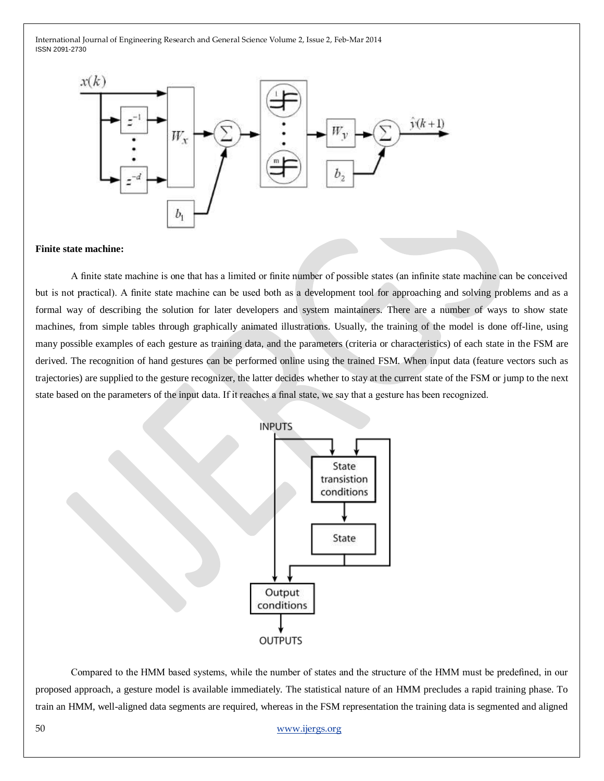

#### **Finite state machine:**

A finite state machine is one that has a limited or finite number of possible states (an infinite state machine can be conceived but is not practical). A finite state machine can be used both as a development tool for approaching and solving problems and as a formal way of describing the solution for later developers and system maintainers. There are a number of ways to show state machines, from simple tables through graphically animated illustrations. Usually, the training of the model is done off-line, using many possible examples of each gesture as training data, and the parameters (criteria or characteristics) of each state in the FSM are derived. The recognition of hand gestures can be performed online using the trained FSM. When input data (feature vectors such as trajectories) are supplied to the gesture recognizer, the latter decides whether to stay at the current state of the FSM or jump to the next state based on the parameters of the input data. If it reaches a final state, we say that a gesture has been recognized.



Compared to the HMM based systems, while the number of states and the structure of the HMM must be predefined, in our proposed approach, a gesture model is available immediately. The statistical nature of an HMM precludes a rapid training phase. To train an HMM, well-aligned data segments are required, whereas in the FSM representation the training data is segmented and aligned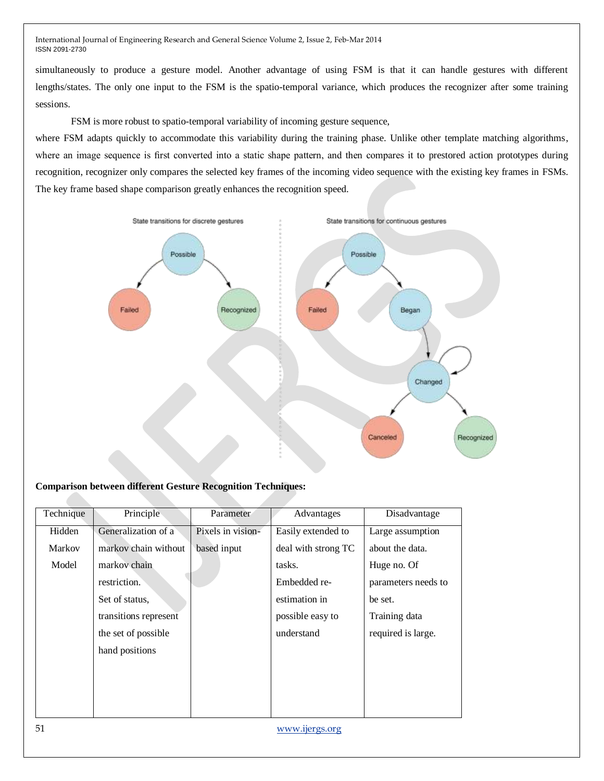simultaneously to produce a gesture model. Another advantage of using FSM is that it can handle gestures with different lengths/states. The only one input to the FSM is the spatio-temporal variance, which produces the recognizer after some training sessions.

FSM is more robust to spatio-temporal variability of incoming gesture sequence,

where FSM adapts quickly to accommodate this variability during the training phase. Unlike other template matching algorithms, where an image sequence is first converted into a static shape pattern, and then compares it to prestored action prototypes during recognition, recognizer only compares the selected key frames of the incoming video sequence with the existing key frames in FSMs. The key frame based shape comparison greatly enhances the recognition speed.



#### **Comparison between different Gesture Recognition Techniques:**

| Technique | Principle             | Parameter         | Advantages          | Disadvantage        |
|-----------|-----------------------|-------------------|---------------------|---------------------|
| Hidden    | Generalization of a   | Pixels in vision- | Easily extended to  | Large assumption    |
| Markov    | markov chain without  | based input       | deal with strong TC | about the data.     |
| Model     | markov chain          |                   | tasks.              | Huge no. Of         |
|           | restriction.          |                   | Embedded re-        | parameters needs to |
|           | Set of status.        |                   | estimation in       | be set.             |
|           | transitions represent |                   | possible easy to    | Training data       |
|           | the set of possible   |                   | understand          | required is large.  |
|           | hand positions        |                   |                     |                     |
|           |                       |                   |                     |                     |
|           |                       |                   |                     |                     |
|           |                       |                   |                     |                     |
|           |                       |                   |                     |                     |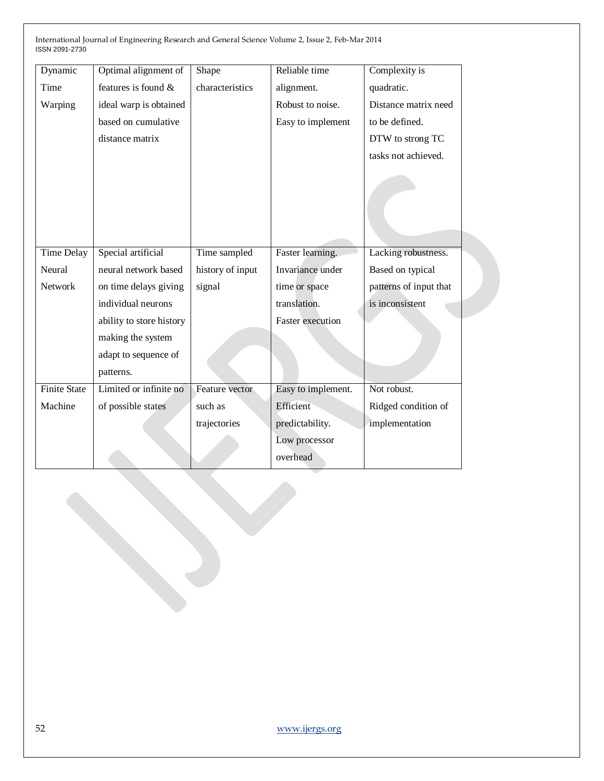| Dynamic             | Optimal alignment of     | Shape            | Reliable time           | Complexity is          |
|---------------------|--------------------------|------------------|-------------------------|------------------------|
| Time                | features is found &      | characteristics  | alignment.              | quadratic.             |
| Warping             | ideal warp is obtained   |                  | Robust to noise.        | Distance matrix need   |
|                     | based on cumulative      |                  | Easy to implement       | to be defined.         |
|                     | distance matrix          |                  |                         | DTW to strong TC       |
|                     |                          |                  |                         | tasks not achieved.    |
|                     |                          |                  |                         |                        |
| Time Delay          | Special artificial       | Time sampled     | Faster learning.        | Lacking robustness.    |
| Neural              | neural network based     | history of input | Invariance under        | Based on typical       |
| Network             | on time delays giving    | signal           | time or space           | patterns of input that |
|                     | individual neurons       |                  | translation.            | is inconsistent        |
|                     | ability to store history |                  | <b>Faster</b> execution |                        |
|                     | making the system        |                  |                         |                        |
|                     | adapt to sequence of     |                  |                         |                        |
|                     | patterns.                |                  |                         |                        |
| <b>Finite State</b> | Limited or infinite no   | Feature vector   | Easy to implement.      | Not robust.            |
| Machine             | of possible states       | such as          | Efficient               | Ridged condition of    |
|                     |                          | trajectories     | predictability.         | implementation         |
|                     |                          |                  | Low processor           |                        |
|                     |                          |                  | overhead                |                        |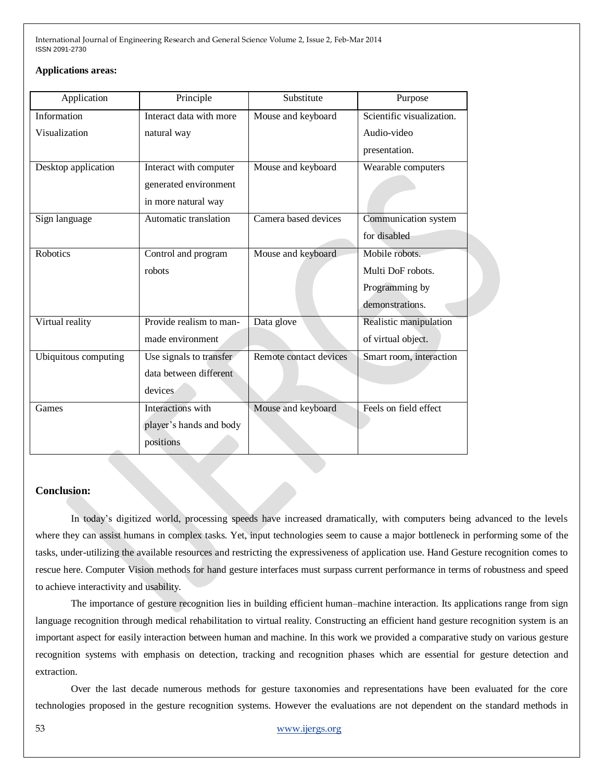#### **Applications areas:**

| Principle               | Substitute             | Purpose                   |
|-------------------------|------------------------|---------------------------|
| Interact data with more | Mouse and keyboard     | Scientific visualization. |
| natural way             |                        | Audio-video               |
|                         |                        | presentation.             |
| Interact with computer  | Mouse and keyboard     | Wearable computers        |
| generated environment   |                        |                           |
| in more natural way     |                        |                           |
| Automatic translation   | Camera based devices   | Communication system      |
|                         |                        | for disabled              |
| Control and program     | Mouse and keyboard     | Mobile robots.            |
| robots                  |                        | Multi DoF robots.         |
|                         |                        | Programming by            |
|                         |                        | demonstrations.           |
| Provide realism to man- | Data glove             | Realistic manipulation    |
| made environment        |                        | of virtual object.        |
| Use signals to transfer | Remote contact devices | Smart room, interaction   |
| data between different  |                        |                           |
| devices                 |                        |                           |
| Interactions with       | Mouse and keyboard     | Feels on field effect     |
| player's hands and body |                        |                           |
| positions               |                        |                           |
|                         |                        |                           |

#### **Conclusion:**

In today's digitized world, processing speeds have increased dramatically, with computers being advanced to the levels where they can assist humans in complex tasks. Yet, input technologies seem to cause a major bottleneck in performing some of the tasks, under-utilizing the available resources and restricting the expressiveness of application use. Hand Gesture recognition comes to rescue here. Computer Vision methods for hand gesture interfaces must surpass current performance in terms of robustness and speed to achieve interactivity and usability.

The importance of gesture recognition lies in building efficient human–machine interaction. Its applications range from sign language recognition through medical rehabilitation to virtual reality. Constructing an efficient hand gesture recognition system is an important aspect for easily interaction between human and machine. In this work we provided a comparative study on various gesture recognition systems with emphasis on detection, tracking and recognition phases which are essential for gesture detection and extraction.

Over the last decade numerous methods for gesture taxonomies and representations have been evaluated for the core technologies proposed in the gesture recognition systems. However the evaluations are not dependent on the standard methods in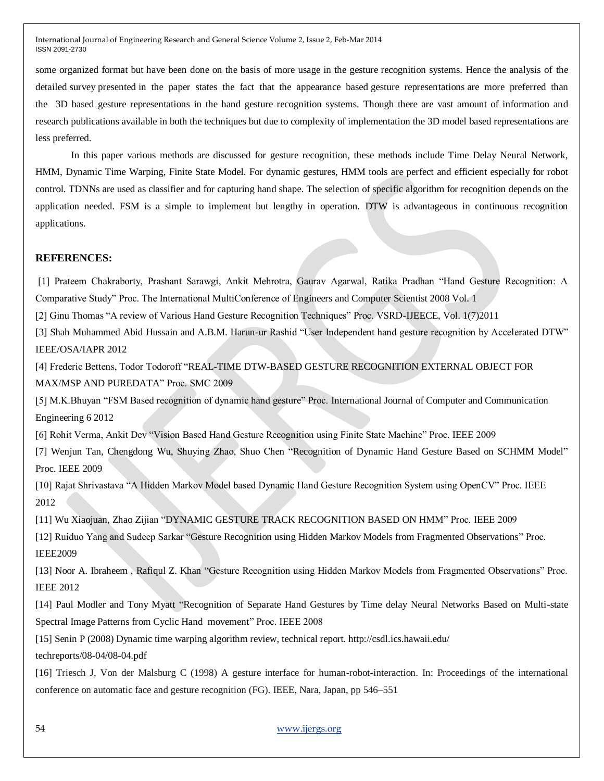some organized format but have been done on the basis of more usage in the gesture recognition systems. Hence the analysis of the detailed survey presented in the paper states the fact that the appearance based gesture representations are more preferred than the 3D based gesture representations in the hand gesture recognition systems. Though there are vast amount of information and research publications available in both the techniques but due to complexity of implementation the 3D model based representations are less preferred.

In this paper various methods are discussed for gesture recognition, these methods include Time Delay Neural Network, HMM, Dynamic Time Warping, Finite State Model. For dynamic gestures, HMM tools are perfect and efficient especially for robot control. TDNNs are used as classifier and for capturing hand shape. The selection of specific algorithm for recognition depends on the application needed. FSM is a simple to implement but lengthy in operation. DTW is advantageous in continuous recognition applications.

#### **REFERENCES:**

[1] Prateem Chakraborty, Prashant Sarawgi, Ankit Mehrotra, Gaurav Agarwal, Ratika Pradhan "Hand Gesture Recognition: A Comparative Study‖ Proc. The International MultiConference of Engineers and Computer Scientist 2008 Vol. 1

[2] Ginu Thomas "A review of Various Hand Gesture Recognition Techniques" Proc. VSRD-IJEECE, Vol. 1(7)2011

[3] Shah Muhammed Abid Hussain and A.B.M. Harun-ur Rashid "User Independent hand gesture recognition by Accelerated DTW" IEEE/OSA/IAPR 2012

[4] Frederic Bettens, Todor Todoroff "REAL-TIME DTW-BASED GESTURE RECOGNITION EXTERNAL OBJECT FOR MAX/MSP AND PUREDATA" Proc. SMC 2009

[5] M.K.Bhuyan "FSM Based recognition of dynamic hand gesture" Proc. International Journal of Computer and Communication Engineering 6 2012

[6] Rohit Verma, Ankit Dev "Vision Based Hand Gesture Recognition using Finite State Machine" Proc. IEEE 2009

[7] Wenjun Tan, Chengdong Wu, Shuying Zhao, Shuo Chen "Recognition of Dynamic Hand Gesture Based on SCHMM Model" Proc. IEEE 2009

[10] Rajat Shrivastava "A Hidden Markov Model based Dynamic Hand Gesture Recognition System using OpenCV" Proc. IEEE 2012

[11] Wu Xiaojuan, Zhao Zijian "DYNAMIC GESTURE TRACK RECOGNITION BASED ON HMM" Proc. IEEE 2009

[12] Ruiduo Yang and Sudeep Sarkar "Gesture Recognition using Hidden Markov Models from Fragmented Observations" Proc. IEEE2009

[13] Noor A. Ibraheem, Rafiqul Z. Khan "Gesture Recognition using Hidden Markov Models from Fragmented Observations" Proc. IEEE 2012

[14] Paul Modler and Tony Myatt "Recognition of Separate Hand Gestures by Time delay Neural Networks Based on Multi-state Spectral Image Patterns from Cyclic Hand movement" Proc. IEEE 2008

[15] Senin P (2008) Dynamic time warping algorithm review, technical report. http://csdl.ics.hawaii.edu/

techreports/08-04/08-04.pdf

[16] Triesch J, Von der Malsburg C (1998) A gesture interface for human-robot-interaction. In: Proceedings of the international conference on automatic face and gesture recognition (FG). IEEE, Nara, Japan, pp 546–551